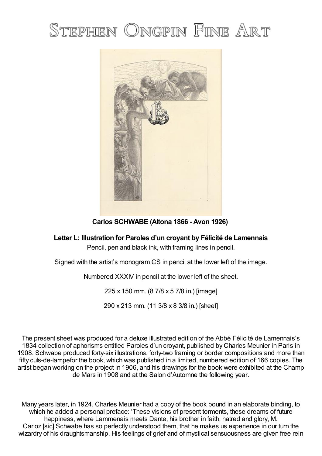## STEPHEN ONGPIN FINE ART



**Carlos SCHWABE (Altona 1866 - Avon 1926)**

**Letter L: Illustration for Paroles d'un croyant by Félicité de Lamennais**

Pencil, pen and black ink, with framing lines in pencil.

Signed with the artist's monogram CS in pencil at the lower left of the image.

Numbered XXXIV in pencil at the lower left of the sheet.

225 x 150 mm. (8 7/8 x 5 7/8 in.) [image]

290 x 213 mm. (11 3/8 x 8 3/8 in.) [sheet]

The present sheet was produced for a deluxe illustrated edition of the Abbé Félicité de Lamennais's 1834 collection of aphorisms entitled Paroles d'un croyant, published by Charles Meunier in Paris in 1908. Schwabe produced forty-six illustrations, forty-two framing or border compositions and more than fifty culs-de-lampefor the book, which was published in a limited, numbered edition of 166 copies. The artist began working on the project in 1906, and his drawings for the book were exhibited at the Champ de Mars in 1908 and at the Salon d'Automne the following year.

Many years later, in 1924, Charles Meunier had a copy of the book bound in an elaborate binding, to which he added a personal preface: 'These visions of present torments, these dreams of future happiness, where Lammenais meets Dante, his brother in faith, hatred and glory, M. Carloz [sic] Schwabe has so perfectly understood them, that he makes us experience in our turn the wizardry of his draughtsmanship. His feelings of grief and of mystical sensuousness are given free rein